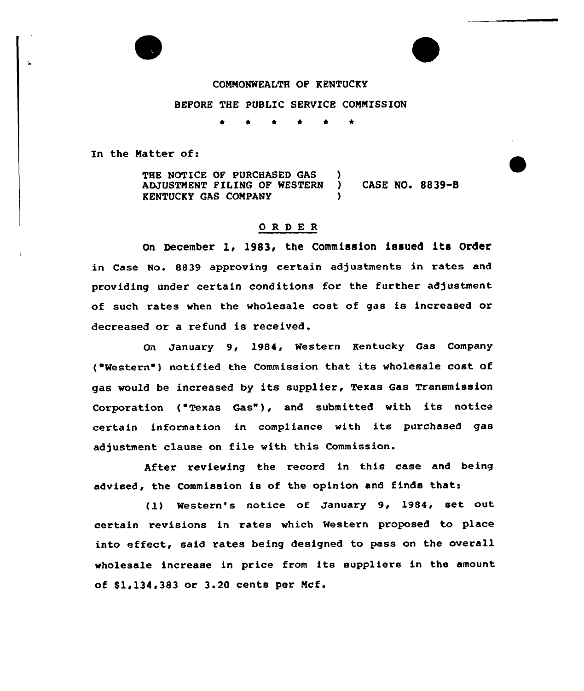

### COMMONWEALTH OF KENTUCKY

### BEFORE THE PUBLIC SERVICE COMMISSION

\* \* \* \* \* \*

In the Natter of:

THE NOTICE OF PURCHASED GAS (3) ADJUSTMENT FILING OF WESTERN ) CASE NO. 8839-B KENTUCKY GAS COMPANY )

## ORDER

On December 1, 1983, the Commission issued its Order in Case No. 8839 approving certain adjustments in rates and providing under certain conditions for the further adjustment of such rates when the wholesale cost of gas is increased or decreased or a refund is received.

On January 9, 1984, Western Kentucky Gas Company ( Western ) notified the Commission that its wholesale cost of gas would be increased by its supplier, Texas Gas Transmission Corporation ( Texas Gas"), and submitted with its notice certain information in compliance with its purchased gas adjustment clause on file with this Commission.

After reviewing the record in this case and being advised, the Commission is of the opinion and finds thats

(1) Western's notice of January 9, 1984, set out certain revisions in rates which Western proposed to place into effect, said rates being designed to pass on the overall wholesale increase in price from its suppliers in the amount of 81,134,383 or 3.20 cents per Mcf.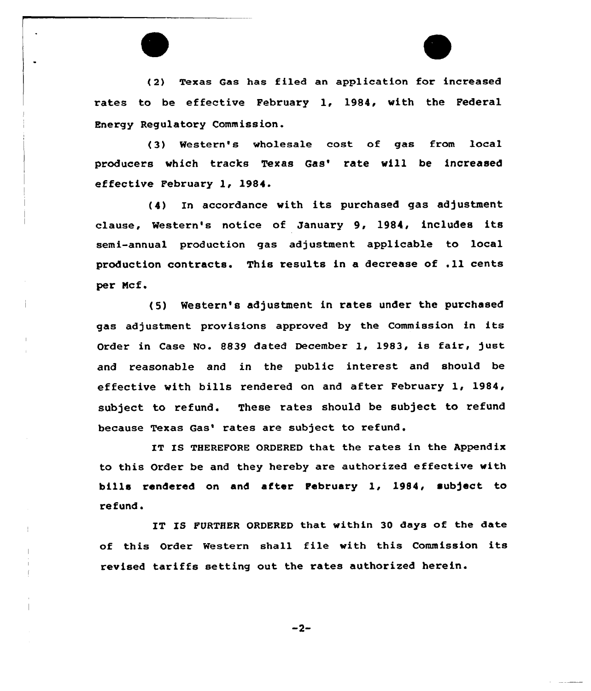( 2) Texas Gas has filed an application for increased rates to be effective February 1, 1984, with the Federal Energy Regulatory Commission.

(3) Western's wholesale cost of gas from local producers which tracks Texas Gas' rate will be increased effective February 1, 1984.

(4) In accordance with its purchased gas adjustment clause, Western's notice of January 9, 1984, includes its semi-annual production gas adjustment applicable to local production contracts. This results in a decrease of .11 cents per Ncf.

(5) Western's adjustment in tates under the purchased gas adjustment provisions approved by the Commission in its Order in Case No. 8839 dated December 1, 1983, is fair, just and reasonable and in the public interest and should be effective with bills rendered on and after February 1, 1984, subject to refund. These rates should be subject to refund because Texas Gas' rates are subject to refund.

IT IS THEREFORE ORDERED that the rates in the Appendix to this Order be and they hereby are authorized effective with bills rendexed on and after February 1, 1984, subject to refund.

IT IS FURTHER ORDERED that within 30 days of the date of this Order Western shall file with this Commission its revised tariffs setting out the rates authorized herein.

 $-2-$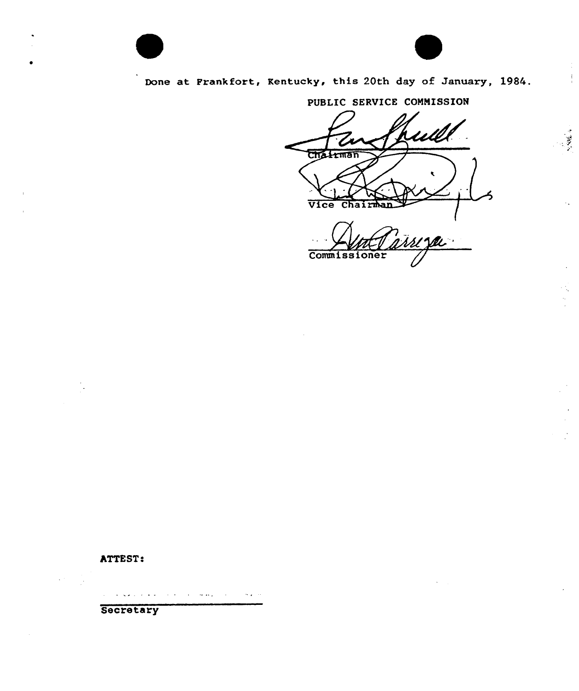

# Done at Frankfort, Kentucky, this 20th day of January, 1984.

# PUBLIC SERVICE COMMISSION

ubi Chairman Vice Chair

Commissioner

# ATTEST:

المتعاط والمتنازع والمطاري والمتعارية والمتعارف والعاملة

Secretary